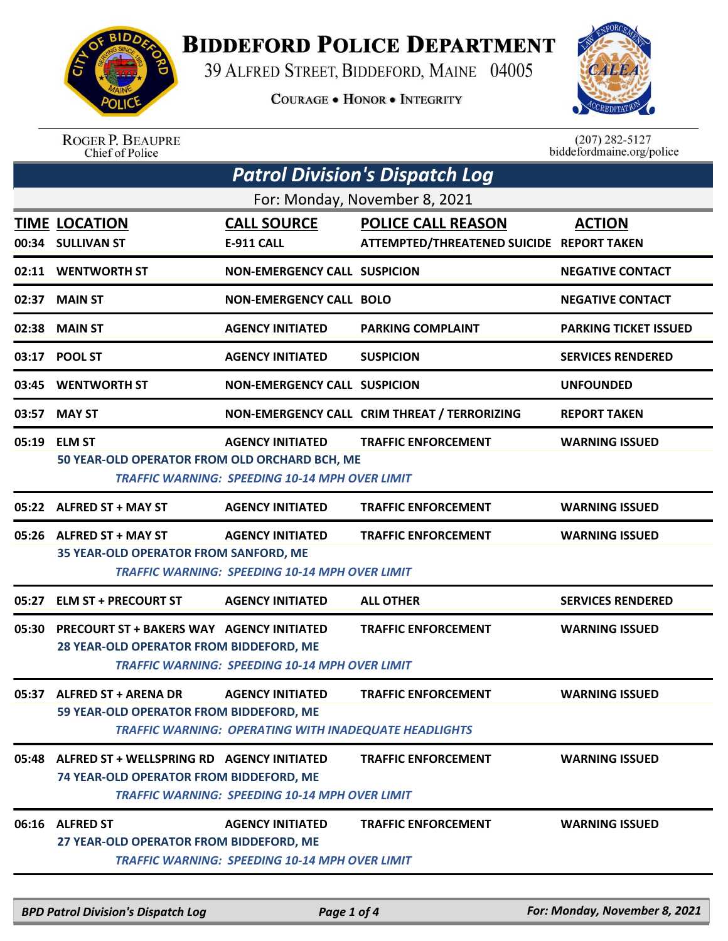

## **BIDDEFORD POLICE DEPARTMENT**

39 ALFRED STREET, BIDDEFORD, MAINE 04005

**COURAGE . HONOR . INTEGRITY** 



ROGER P. BEAUPRE<br>Chief of Police

 $(207)$  282-5127 biddefordmaine.org/police

|                               | <b>Patrol Division's Dispatch Log</b>                                                       |                                                                                         |                                                                        |                              |  |  |
|-------------------------------|---------------------------------------------------------------------------------------------|-----------------------------------------------------------------------------------------|------------------------------------------------------------------------|------------------------------|--|--|
| For: Monday, November 8, 2021 |                                                                                             |                                                                                         |                                                                        |                              |  |  |
|                               | <b>TIME LOCATION</b><br>00:34 SULLIVAN ST                                                   | <b>CALL SOURCE</b><br>E-911 CALL                                                        | <b>POLICE CALL REASON</b><br>ATTEMPTED/THREATENED SUICIDE REPORT TAKEN | <b>ACTION</b>                |  |  |
|                               | 02:11 WENTWORTH ST                                                                          | <b>NON-EMERGENCY CALL SUSPICION</b>                                                     |                                                                        | <b>NEGATIVE CONTACT</b>      |  |  |
|                               | 02:37 MAIN ST                                                                               | <b>NON-EMERGENCY CALL BOLO</b>                                                          |                                                                        | <b>NEGATIVE CONTACT</b>      |  |  |
|                               | 02:38 MAIN ST                                                                               | <b>AGENCY INITIATED</b>                                                                 | <b>PARKING COMPLAINT</b>                                               | <b>PARKING TICKET ISSUED</b> |  |  |
|                               | 03:17 POOL ST                                                                               | <b>AGENCY INITIATED</b>                                                                 | <b>SUSPICION</b>                                                       | <b>SERVICES RENDERED</b>     |  |  |
|                               | 03:45 WENTWORTH ST                                                                          | <b>NON-EMERGENCY CALL SUSPICION</b>                                                     |                                                                        | <b>UNFOUNDED</b>             |  |  |
|                               | 03:57 MAY ST                                                                                |                                                                                         | NON-EMERGENCY CALL CRIM THREAT / TERRORIZING                           | <b>REPORT TAKEN</b>          |  |  |
| 05:19                         | <b>ELM ST</b><br>50 YEAR-OLD OPERATOR FROM OLD ORCHARD BCH, ME                              | <b>AGENCY INITIATED</b><br><b>TRAFFIC WARNING: SPEEDING 10-14 MPH OVER LIMIT</b>        | <b>TRAFFIC ENFORCEMENT</b>                                             | <b>WARNING ISSUED</b>        |  |  |
| 05:22                         | <b>ALFRED ST + MAY ST</b>                                                                   | <b>AGENCY INITIATED</b>                                                                 | <b>TRAFFIC ENFORCEMENT</b>                                             | <b>WARNING ISSUED</b>        |  |  |
|                               | 05:26 ALFRED ST + MAY ST<br>35 YEAR-OLD OPERATOR FROM SANFORD, ME                           | <b>AGENCY INITIATED</b><br><b>TRAFFIC WARNING: SPEEDING 10-14 MPH OVER LIMIT</b>        | <b>TRAFFIC ENFORCEMENT</b>                                             | <b>WARNING ISSUED</b>        |  |  |
|                               | 05:27 ELM ST + PRECOURT ST                                                                  | <b>AGENCY INITIATED</b>                                                                 | <b>ALL OTHER</b>                                                       | <b>SERVICES RENDERED</b>     |  |  |
| 05:30                         | <b>PRECOURT ST + BAKERS WAY AGENCY INITIATED</b><br>28 YEAR-OLD OPERATOR FROM BIDDEFORD, ME | <b>TRAFFIC WARNING: SPEEDING 10-14 MPH OVER LIMIT</b>                                   | <b>TRAFFIC ENFORCEMENT</b>                                             | <b>WARNING ISSUED</b>        |  |  |
|                               | 05:37 ALFRED ST + ARENA DR<br>59 YEAR-OLD OPERATOR FROM BIDDEFORD, ME                       | <b>AGENCY INITIATED</b><br><b>TRAFFIC WARNING: OPERATING WITH INADEQUATE HEADLIGHTS</b> | <b>TRAFFIC ENFORCEMENT</b>                                             | <b>WARNING ISSUED</b>        |  |  |
|                               | 05:48 ALFRED ST + WELLSPRING RD AGENCY INITIATED<br>74 YEAR-OLD OPERATOR FROM BIDDEFORD, ME | <b>TRAFFIC WARNING: SPEEDING 10-14 MPH OVER LIMIT</b>                                   | <b>TRAFFIC ENFORCEMENT</b>                                             | <b>WARNING ISSUED</b>        |  |  |
|                               | 06:16 ALFRED ST<br>27 YEAR-OLD OPERATOR FROM BIDDEFORD, ME                                  | <b>AGENCY INITIATED</b><br><b>TRAFFIC WARNING: SPEEDING 10-14 MPH OVER LIMIT</b>        | <b>TRAFFIC ENFORCEMENT</b>                                             | <b>WARNING ISSUED</b>        |  |  |
|                               |                                                                                             |                                                                                         |                                                                        |                              |  |  |

*BPD Patrol Division's Dispatch Log Page 1 of 4 For: Monday, November 8, 2021*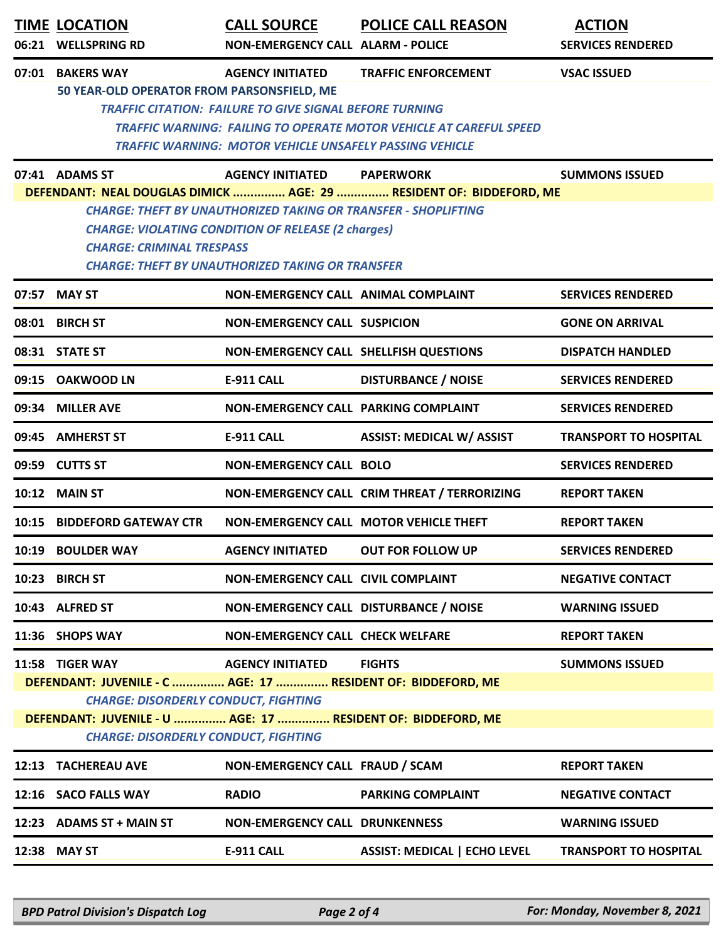|                                                                                                                                                                                                                            | <b>TIME LOCATION</b><br>06:21 WELLSPRING RD                                                                                                                                                                                                                                                              | <b>CALL SOURCE</b><br><b>NON-EMERGENCY CALL ALARM - POLICE</b>                                                                                              | <b>POLICE CALL REASON</b>                                                                               | <b>ACTION</b><br><b>SERVICES RENDERED</b> |  |
|----------------------------------------------------------------------------------------------------------------------------------------------------------------------------------------------------------------------------|----------------------------------------------------------------------------------------------------------------------------------------------------------------------------------------------------------------------------------------------------------------------------------------------------------|-------------------------------------------------------------------------------------------------------------------------------------------------------------|---------------------------------------------------------------------------------------------------------|-------------------------------------------|--|
|                                                                                                                                                                                                                            | 07:01 BAKERS WAY<br>50 YEAR-OLD OPERATOR FROM PARSONSFIELD, ME                                                                                                                                                                                                                                           | <b>AGENCY INITIATED</b><br><b>TRAFFIC CITATION: FAILURE TO GIVE SIGNAL BEFORE TURNING</b><br><b>TRAFFIC WARNING: MOTOR VEHICLE UNSAFELY PASSING VEHICLE</b> | <b>TRAFFIC ENFORCEMENT</b><br><b>TRAFFIC WARNING: FAILING TO OPERATE MOTOR VEHICLE AT CAREFUL SPEED</b> | <b>VSAC ISSUED</b>                        |  |
|                                                                                                                                                                                                                            | 07:41 ADAMS ST                                                                                                                                                                                                                                                                                           | <b>AGENCY INITIATED</b>                                                                                                                                     | <b>PAPERWORK</b>                                                                                        | <b>SUMMONS ISSUED</b>                     |  |
|                                                                                                                                                                                                                            | DEFENDANT: NEAL DOUGLAS DIMICK  AGE: 29  RESIDENT OF: BIDDEFORD, ME<br><b>CHARGE: THEFT BY UNAUTHORIZED TAKING OR TRANSFER - SHOPLIFTING</b><br><b>CHARGE: VIOLATING CONDITION OF RELEASE (2 charges)</b><br><b>CHARGE: CRIMINAL TRESPASS</b><br><b>CHARGE: THEFT BY UNAUTHORIZED TAKING OR TRANSFER</b> |                                                                                                                                                             |                                                                                                         |                                           |  |
|                                                                                                                                                                                                                            | 07:57 MAY ST                                                                                                                                                                                                                                                                                             | NON-EMERGENCY CALL ANIMAL COMPLAINT                                                                                                                         |                                                                                                         | <b>SERVICES RENDERED</b>                  |  |
|                                                                                                                                                                                                                            | 08:01 BIRCH ST                                                                                                                                                                                                                                                                                           | <b>NON-EMERGENCY CALL SUSPICION</b>                                                                                                                         |                                                                                                         | <b>GONE ON ARRIVAL</b>                    |  |
|                                                                                                                                                                                                                            | 08:31 STATE ST                                                                                                                                                                                                                                                                                           | NON-EMERGENCY CALL SHELLFISH QUESTIONS                                                                                                                      |                                                                                                         | <b>DISPATCH HANDLED</b>                   |  |
|                                                                                                                                                                                                                            | 09:15 OAKWOOD LN                                                                                                                                                                                                                                                                                         | <b>E-911 CALL</b>                                                                                                                                           | <b>DISTURBANCE / NOISE</b>                                                                              | <b>SERVICES RENDERED</b>                  |  |
|                                                                                                                                                                                                                            | 09:34 MILLER AVE                                                                                                                                                                                                                                                                                         | NON-EMERGENCY CALL PARKING COMPLAINT                                                                                                                        |                                                                                                         | <b>SERVICES RENDERED</b>                  |  |
|                                                                                                                                                                                                                            | 09:45 AMHERST ST                                                                                                                                                                                                                                                                                         | <b>E-911 CALL</b>                                                                                                                                           | <b>ASSIST: MEDICAL W/ ASSIST</b>                                                                        | <b>TRANSPORT TO HOSPITAL</b>              |  |
|                                                                                                                                                                                                                            | 09:59 CUTTS ST                                                                                                                                                                                                                                                                                           | <b>NON-EMERGENCY CALL BOLO</b>                                                                                                                              |                                                                                                         | <b>SERVICES RENDERED</b>                  |  |
|                                                                                                                                                                                                                            | <b>10:12 MAIN ST</b>                                                                                                                                                                                                                                                                                     |                                                                                                                                                             | NON-EMERGENCY CALL CRIM THREAT / TERRORIZING                                                            | <b>REPORT TAKEN</b>                       |  |
| 10:15                                                                                                                                                                                                                      | <b>BIDDEFORD GATEWAY CTR</b>                                                                                                                                                                                                                                                                             |                                                                                                                                                             | NON-EMERGENCY CALL MOTOR VEHICLE THEFT                                                                  | <b>REPORT TAKEN</b>                       |  |
|                                                                                                                                                                                                                            | 10:19 BOULDER WAY                                                                                                                                                                                                                                                                                        | <b>AGENCY INITIATED</b>                                                                                                                                     | <b>OUT FOR FOLLOW UP</b>                                                                                | <b>SERVICES RENDERED</b>                  |  |
| 10:23                                                                                                                                                                                                                      | <b>BIRCH ST</b>                                                                                                                                                                                                                                                                                          | <b>NON-EMERGENCY CALL CIVIL COMPLAINT</b>                                                                                                                   |                                                                                                         | <b>NEGATIVE CONTACT</b>                   |  |
|                                                                                                                                                                                                                            | 10:43 ALFRED ST                                                                                                                                                                                                                                                                                          | NON-EMERGENCY CALL DISTURBANCE / NOISE                                                                                                                      |                                                                                                         | <b>WARNING ISSUED</b>                     |  |
|                                                                                                                                                                                                                            | 11:36 SHOPS WAY                                                                                                                                                                                                                                                                                          | <b>NON-EMERGENCY CALL CHECK WELFARE</b>                                                                                                                     |                                                                                                         | <b>REPORT TAKEN</b>                       |  |
|                                                                                                                                                                                                                            | 11:58 TIGER WAY                                                                                                                                                                                                                                                                                          | <b>AGENCY INITIATED</b>                                                                                                                                     | <b>FIGHTS</b>                                                                                           | <b>SUMMONS ISSUED</b>                     |  |
| DEFENDANT: JUVENILE - C  AGE: 17  RESIDENT OF: BIDDEFORD, ME<br><b>CHARGE: DISORDERLY CONDUCT, FIGHTING</b><br>DEFENDANT: JUVENILE - U  AGE: 17  RESIDENT OF: BIDDEFORD, ME<br><b>CHARGE: DISORDERLY CONDUCT, FIGHTING</b> |                                                                                                                                                                                                                                                                                                          |                                                                                                                                                             |                                                                                                         |                                           |  |
|                                                                                                                                                                                                                            | 12:13 TACHEREAU AVE                                                                                                                                                                                                                                                                                      | NON-EMERGENCY CALL FRAUD / SCAM                                                                                                                             |                                                                                                         | <b>REPORT TAKEN</b>                       |  |
|                                                                                                                                                                                                                            | 12:16 SACO FALLS WAY                                                                                                                                                                                                                                                                                     | <b>RADIO</b>                                                                                                                                                | <b>PARKING COMPLAINT</b>                                                                                | <b>NEGATIVE CONTACT</b>                   |  |
|                                                                                                                                                                                                                            | 12:23 ADAMS ST + MAIN ST                                                                                                                                                                                                                                                                                 | <b>NON-EMERGENCY CALL DRUNKENNESS</b>                                                                                                                       |                                                                                                         | <b>WARNING ISSUED</b>                     |  |
|                                                                                                                                                                                                                            | 12:38 MAY ST                                                                                                                                                                                                                                                                                             | E-911 CALL                                                                                                                                                  | <b>ASSIST: MEDICAL   ECHO LEVEL</b>                                                                     | <b>TRANSPORT TO HOSPITAL</b>              |  |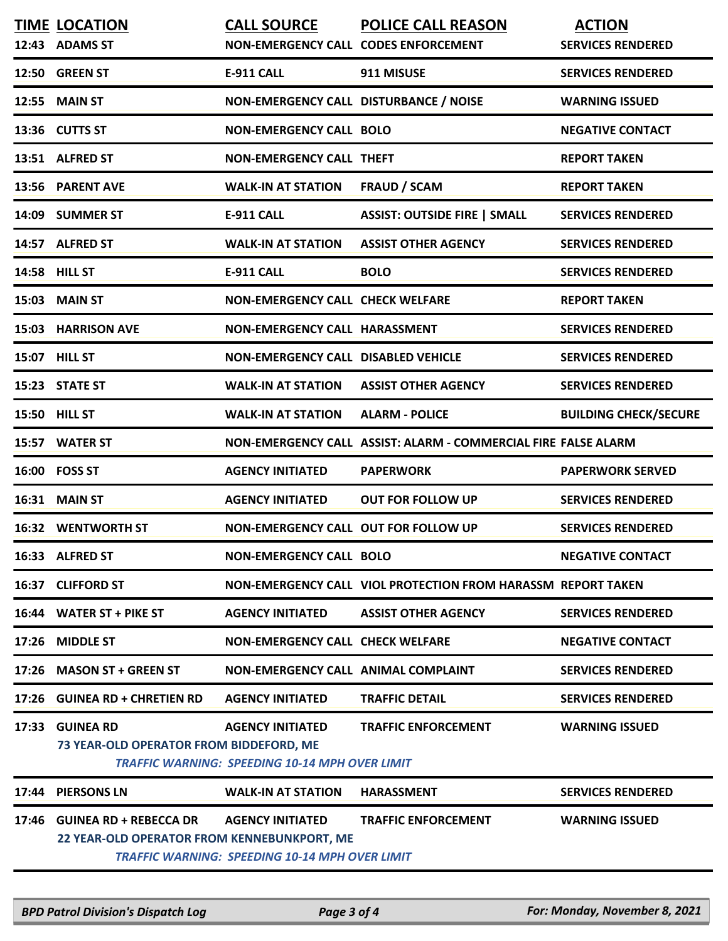|       | <b>TIME LOCATION</b><br>12:43 ADAMS ST                                       | <b>CALL SOURCE</b><br>NON-EMERGENCY CALL CODES ENFORCEMENT                       | <b>POLICE CALL REASON</b>                                      | <b>ACTION</b><br><b>SERVICES RENDERED</b> |
|-------|------------------------------------------------------------------------------|----------------------------------------------------------------------------------|----------------------------------------------------------------|-------------------------------------------|
|       | 12:50 GREEN ST                                                               | <b>E-911 CALL</b>                                                                | 911 MISUSE                                                     | <b>SERVICES RENDERED</b>                  |
|       | 12:55 MAIN ST                                                                | NON-EMERGENCY CALL DISTURBANCE / NOISE                                           |                                                                | <b>WARNING ISSUED</b>                     |
|       | 13:36 CUTTS ST                                                               | <b>NON-EMERGENCY CALL BOLO</b>                                                   |                                                                | <b>NEGATIVE CONTACT</b>                   |
|       | 13:51 ALFRED ST                                                              | <b>NON-EMERGENCY CALL THEFT</b>                                                  |                                                                | <b>REPORT TAKEN</b>                       |
|       | 13:56 PARENT AVE                                                             | <b>WALK-IN AT STATION</b>                                                        | <b>FRAUD / SCAM</b>                                            | <b>REPORT TAKEN</b>                       |
| 14:09 | <b>SUMMER ST</b>                                                             | <b>E-911 CALL</b>                                                                | <b>ASSIST: OUTSIDE FIRE   SMALL</b>                            | <b>SERVICES RENDERED</b>                  |
|       | 14:57 ALFRED ST                                                              | <b>WALK-IN AT STATION</b>                                                        | <b>ASSIST OTHER AGENCY</b>                                     | <b>SERVICES RENDERED</b>                  |
| 14:58 | <b>HILL ST</b>                                                               | <b>E-911 CALL</b>                                                                | <b>BOLO</b>                                                    | <b>SERVICES RENDERED</b>                  |
| 15:03 | <b>MAIN ST</b>                                                               | <b>NON-EMERGENCY CALL CHECK WELFARE</b>                                          |                                                                | <b>REPORT TAKEN</b>                       |
| 15:03 | <b>HARRISON AVE</b>                                                          | <b>NON-EMERGENCY CALL HARASSMENT</b>                                             |                                                                | <b>SERVICES RENDERED</b>                  |
|       | 15:07 HILL ST                                                                | <b>NON-EMERGENCY CALL DISABLED VEHICLE</b>                                       |                                                                | <b>SERVICES RENDERED</b>                  |
|       | 15:23 STATE ST                                                               | <b>WALK-IN AT STATION</b>                                                        | <b>ASSIST OTHER AGENCY</b>                                     | <b>SERVICES RENDERED</b>                  |
| 15:50 | <b>HILL ST</b>                                                               | <b>WALK-IN AT STATION</b>                                                        | <b>ALARM - POLICE</b>                                          | <b>BUILDING CHECK/SECURE</b>              |
| 15:57 | <b>WATER ST</b>                                                              |                                                                                  | NON-EMERGENCY CALL ASSIST: ALARM - COMMERCIAL FIRE FALSE ALARM |                                           |
| 16:00 | <b>FOSS ST</b>                                                               | <b>AGENCY INITIATED</b>                                                          | <b>PAPERWORK</b>                                               | <b>PAPERWORK SERVED</b>                   |
| 16:31 | <b>MAIN ST</b>                                                               | <b>AGENCY INITIATED</b>                                                          | <b>OUT FOR FOLLOW UP</b>                                       | <b>SERVICES RENDERED</b>                  |
|       | <b>16:32 WENTWORTH ST</b>                                                    | <b>NON-EMERGENCY CALL OUT FOR FOLLOW UP</b>                                      |                                                                | <b>SERVICES RENDERED</b>                  |
|       | 16:33 ALFRED ST                                                              | <b>NON-EMERGENCY CALL BOLO</b>                                                   |                                                                | <b>NEGATIVE CONTACT</b>                   |
| 16:37 | <b>CLIFFORD ST</b>                                                           |                                                                                  | NON-EMERGENCY CALL VIOL PROTECTION FROM HARASSM REPORT TAKEN   |                                           |
|       | 16:44 WATER ST + PIKE ST                                                     | <b>AGENCY INITIATED</b>                                                          | <b>ASSIST OTHER AGENCY</b>                                     | <b>SERVICES RENDERED</b>                  |
|       | 17:26 MIDDLE ST                                                              | <b>NON-EMERGENCY CALL CHECK WELFARE</b>                                          |                                                                | <b>NEGATIVE CONTACT</b>                   |
|       | 17:26 MASON ST + GREEN ST                                                    | <b>NON-EMERGENCY CALL ANIMAL COMPLAINT</b>                                       |                                                                | <b>SERVICES RENDERED</b>                  |
|       | 17:26 GUINEA RD + CHRETIEN RD                                                | <b>AGENCY INITIATED</b>                                                          | <b>TRAFFIC DETAIL</b>                                          | <b>SERVICES RENDERED</b>                  |
| 17:33 | <b>GUINEA RD</b><br>73 YEAR-OLD OPERATOR FROM BIDDEFORD, ME                  | <b>AGENCY INITIATED</b><br><b>TRAFFIC WARNING: SPEEDING 10-14 MPH OVER LIMIT</b> | <b>TRAFFIC ENFORCEMENT</b>                                     | <b>WARNING ISSUED</b>                     |
| 17:44 | <b>PIERSONS LN</b>                                                           | <b>WALK-IN AT STATION</b>                                                        | <b>HARASSMENT</b>                                              | <b>SERVICES RENDERED</b>                  |
| 17:46 | <b>GUINEA RD + REBECCA DR</b><br>22 YEAR-OLD OPERATOR FROM KENNEBUNKPORT, ME | <b>AGENCY INITIATED</b><br><b>TRAFFIC WARNING: SPEEDING 10-14 MPH OVER LIMIT</b> | <b>TRAFFIC ENFORCEMENT</b>                                     | <b>WARNING ISSUED</b>                     |